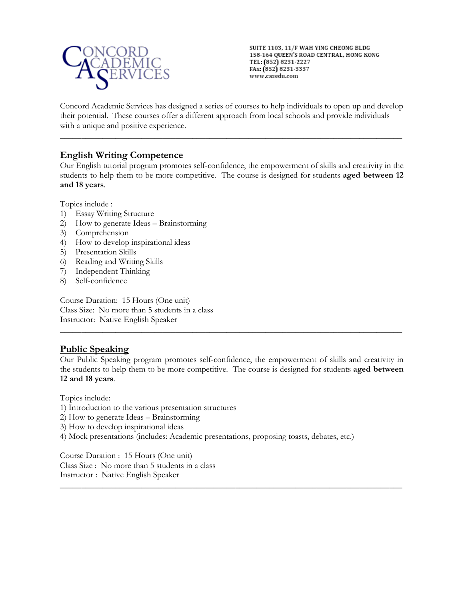

SUITE 1103, 11/F WAH YING CHEONG BLDG 158-164 QUEEN'S ROAD CENTRAL, HONG KONG TEL: (852) 8231-2227 FAx: (852) 8231-3337 www.casedu.com

Concord Academic Services has designed a series of courses to help individuals to open up and develop their potential. These courses offer a different approach from local schools and provide individuals with a unique and positive experience.

\_\_\_\_\_\_\_\_\_\_\_\_\_\_\_\_\_\_\_\_\_\_\_\_\_\_\_\_\_\_\_\_\_\_\_\_\_\_\_\_\_\_\_\_\_\_\_\_\_\_\_\_\_\_\_\_\_\_\_\_\_\_\_\_\_\_\_\_\_\_\_\_\_\_\_\_\_\_\_\_

# **English Writing Competence**

Our English tutorial program promotes self-confidence, the empowerment of skills and creativity in the students to help them to be more competitive. The course is designed for students **aged between 12 and 18 years**.

Topics include :

- 1) Essay Writing Structure
- 2) How to generate Ideas Brainstorming
- 3) Comprehension
- 4) How to develop inspirational ideas
- 5) Presentation Skills
- 6) Reading and Writing Skills
- 7) Independent Thinking
- 8) Self-confidence

Course Duration: 15 Hours (One unit) Class Size: No more than 5 students in a class Instructor: Native English Speaker

# **Public Speaking**

Our Public Speaking program promotes self-confidence, the empowerment of skills and creativity in the students to help them to be more competitive. The course is designed for students **aged between 12 and 18 years**.

\_\_\_\_\_\_\_\_\_\_\_\_\_\_\_\_\_\_\_\_\_\_\_\_\_\_\_\_\_\_\_\_\_\_\_\_\_\_\_\_\_\_\_\_\_\_\_\_\_\_\_\_\_\_\_\_\_\_\_\_\_\_\_\_\_\_\_\_\_\_\_\_\_\_\_\_\_\_\_\_

\_\_\_\_\_\_\_\_\_\_\_\_\_\_\_\_\_\_\_\_\_\_\_\_\_\_\_\_\_\_\_\_\_\_\_\_\_\_\_\_\_\_\_\_\_\_\_\_\_\_\_\_\_\_\_\_\_\_\_\_\_\_\_\_\_\_\_\_\_\_\_\_\_\_\_\_\_\_\_\_

Topics include:

- 1) Introduction to the various presentation structures
- 2) How to generate Ideas Brainstorming
- 3) How to develop inspirational ideas
- 4) Mock presentations (includes: Academic presentations, proposing toasts, debates, etc.)

Course Duration : 15 Hours (One unit) Class Size : No more than 5 students in a class Instructor : Native English Speaker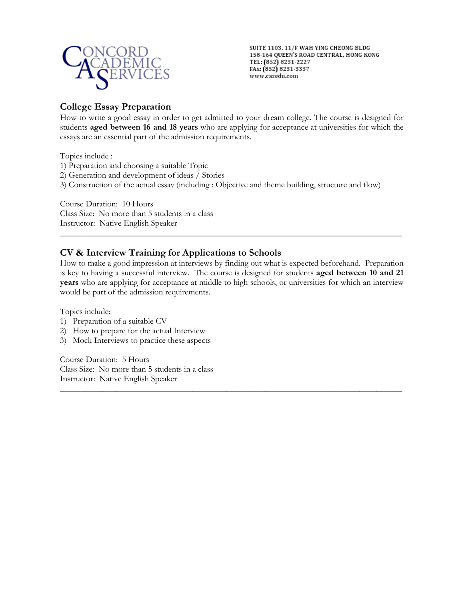

SUITE 1103, 11/F WAH YING CHEONG BLDG 158-164 QUEEN'S ROAD CENTRAL, HONG KONG TEL: (852) 8231-2227 FAx: (852) 8231-3337 www.casedu.com

## **College Essay Preparation**

How to write a good essay in order to get admitted to your dream college. The course is designed for students **aged between 16 and 18 years** who are applying for acceptance at universities for which the essays are an essential part of the admission requirements.

Topics include :

- 1) Preparation and choosing a suitable Topic
- 2) Generation and development of ideas / Stories
- 3) Construction of the actual essay (including : Objective and theme building, structure and flow)

Course Duration: 10 Hours Class Size: No more than 5 students in a class Instructor: Native English Speaker

# **CV & Interview Training for Applications to Schools**

How to make a good impression at interviews by finding out what is expected beforehand. Preparation is key to having a successful interview. The course is designed for students **aged between 10 and 21 years** who are applying for acceptance at middle to high schools, or universities for which an interview would be part of the admission requirements.

\_\_\_\_\_\_\_\_\_\_\_\_\_\_\_\_\_\_\_\_\_\_\_\_\_\_\_\_\_\_\_\_\_\_\_\_\_\_\_\_\_\_\_\_\_\_\_\_\_\_\_\_\_\_\_\_\_\_\_\_\_\_\_\_\_\_\_\_\_\_\_\_\_\_\_\_\_\_\_\_

\_\_\_\_\_\_\_\_\_\_\_\_\_\_\_\_\_\_\_\_\_\_\_\_\_\_\_\_\_\_\_\_\_\_\_\_\_\_\_\_\_\_\_\_\_\_\_\_\_\_\_\_\_\_\_\_\_\_\_\_\_\_\_\_\_\_\_\_\_\_\_\_\_\_\_\_\_\_\_\_

Topics include:

- 1) Preparation of a suitable CV
- 2) How to prepare for the actual Interview
- 3) Mock Interviews to practice these aspects

Course Duration: 5 Hours Class Size: No more than 5 students in a class Instructor: Native English Speaker